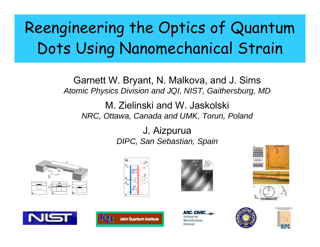# Reengineering the Optics of Quantum Dots Using Nanomechanical Strain

Garnett W. Bryant, N. Malkova, and J. Sims *Atomic Physics Division and JQI, NIST, Gaithersburg, MD*

M. Zielinski and W. Jaskolski *NRC, Ottawa, Canada and UMK, Torun, Poland*

> J. Aizpurua *DIPC, San Sebastian, Spain*

















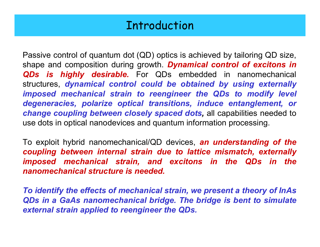# Introduction

Passive control of quantum dot (QD) optics is achieved by tailoring QD size, shape and composition during growth. *Dynamical control of excitons in QDs is highly desirable.* For QDs embedded in nanomechanical structures, *dynamical control could be obtained by using externally imposed mechanical strain to reengineer the QDs to modify level degeneracies, polarize optical transitions, induce entanglement, or change coupling between closely spaced dots,* all capabilities needed to use dots in optical nanodevices and quantum information processing.

To exploit hybrid nanomechanical/QD devices, *an understanding of the coupling between internal strain due to lattice mismatch, externally imposed mechanical strain, and excitons in the QDs in the nanomechanical structure is needed.*

*To identify the effects of mechanical strain, we present a theory of InAs QDs in a GaAs nanomechanical bridge. The bridge is bent to simulate external strain applied to reengineer the QDs.*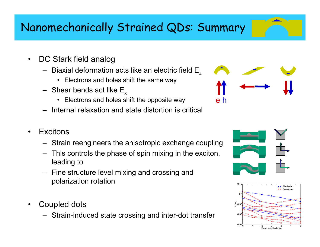# Nanomechanically Strained QDs: Summary

- $\bullet$  DC Stark field analog
	- $\,$  Biaxial deformation acts like an electric field  $\mathsf{E}_\mathsf{z}$ 
		- Electrons and holes shift the same way
	- $-$  Shear bends act like  $\mathsf{E}_\mathsf{x}$ 
		- Electrons and holes shift the opposite way
	- Internal relaxation and state distortion is critical
- •**Excitons** 
	- Strain reengineers the anisotropic exchange coupling
	- – This controls the phase of spin mixing in the exciton, leading to
	- Fine structure level mixing and crossing and polarization rotation
- • Coupled dots
	- Strain-induced state crossing and inter-dot transfer







e h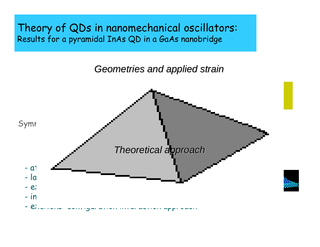Theory of QDs in nanomechanical oscillators: Results for a pyramidal InAs QD in a GaAs nanobridge

*Geometries and applied strain Geometries and applied strain*

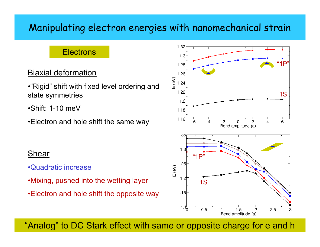### Manipulating electron energies with nanomechanical strain

### Electrons

### Biaxial deformation

•"Rigid" shift with fixed level ordering and state symmetries

•Shift: 1-10 meV

•Electron and hole shift the same way

#### Shear

- •Quadratic increase
- •Mixing, pushed into the wetting layer
- •Electron and hole shift the opposite way



"Analog" to DC Stark effect with same or opposite charge for e and h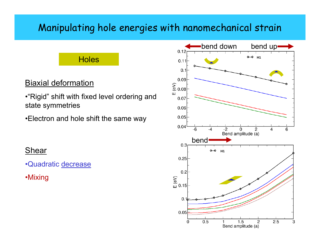### Manipulating hole energies with nanomechanical strain

### Holes

### Biaxial deformation

•"Rigid" shift with fixed level ordering and state symmetries

•Electron and hole shift the same way

### Shear

•Quadratic decrease

•Mixing

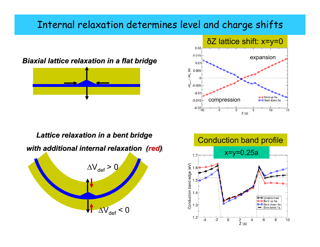### Internal relaxation determines level and charge shifts







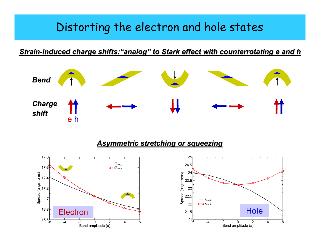### Distorting the electron and hole states

*Strain -induced charge shifts: induced charge shifts: "analog " to Stark effect with counterrotating e and h to Stark effect with counterrotating e and h*



#### *Asymmetric stretching or squeezing Asymmetric stretching or squeezing*

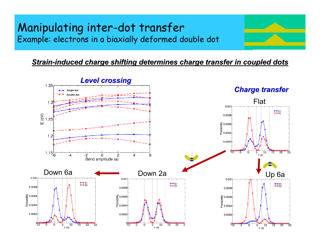### Manipulating inter-dot transfer Example: electrons in a biaxially deformed double dot

#### **Strain-induced charge shifting determines charge transfer in coupled dots**

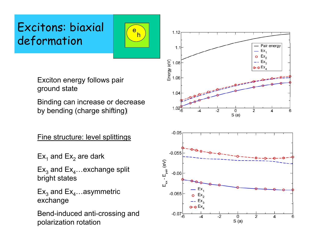# Excitons: biaxial deformation



Exciton energy follows pair ground state

Binding can increase or decrease by bending (charge shifting)

Fine structure: level splittings

Ex $_{\textrm{\tiny{1}}}$  and Ex $_{\textrm{\tiny{2}}}$  are dark

Ex $_3$  and Ex $_4$ …exchange split  $\,$ bright states

Ex $_3$  and Ex $_4$ …asymmetric exchange

Bend-induced anti-crossing and polarization rotation

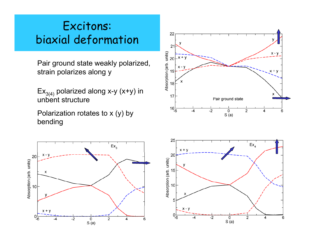# Excitons: biaxial deformation

Pair ground state weakly polarized,<br>strain polarizes along y<br> $\frac{1}{2}$ <br> $\frac{1}{2}$ <br> $\frac{1}{2}$ <br> $\frac{1}{2}$ <br> $\frac{1}{2}$ <br> $\frac{1}{2}$ <br> $\frac{1}{2}$ <br> $\frac{1}{2}$ <br> $\frac{1}{2}$ <br> $\frac{1}{2}$ <br> $\frac{1}{2}$ <br> $\frac{1}{2}$ <br> $\frac{1}{2}$ <br> $\frac{1}{2}$ <br> $\frac{1}{2}$ <br> $\frac{1}{2}$ <br> strain polarizes along y

Ex $_{3(4)}$  polarized along x-y (x+y) in unbent structure

Polarization rotates to x (y) by bending





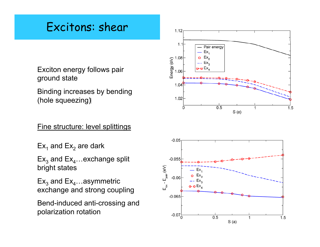# Excitons: shear

Exciton energy follows pair ground state

Binding increases by bending (hole squeezing)

### Fine structure: level splittings

Ex $_{\textrm{\tiny{1}}}$  and Ex $_{\textrm{\tiny{2}}}$  are dark

Ex $_3$  and Ex $_4$ …exchange split  $\,$ bright states

Ex $_3$  and Ex $_4$ …asymmetric exchange and strong coupling

Bend-induced anti-crossing and polarization rotation



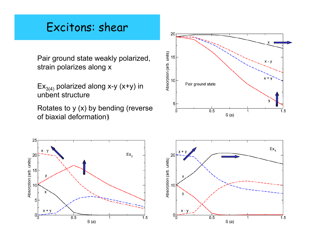# Excitons: shear

Pair ground state weakly polarized, strain polarizes along x

 $Ex_{3(4)}$  polarized along x-y (x+y) in unbent structure

Rotates to y (x) by bending (reverse of biaxial deformation (